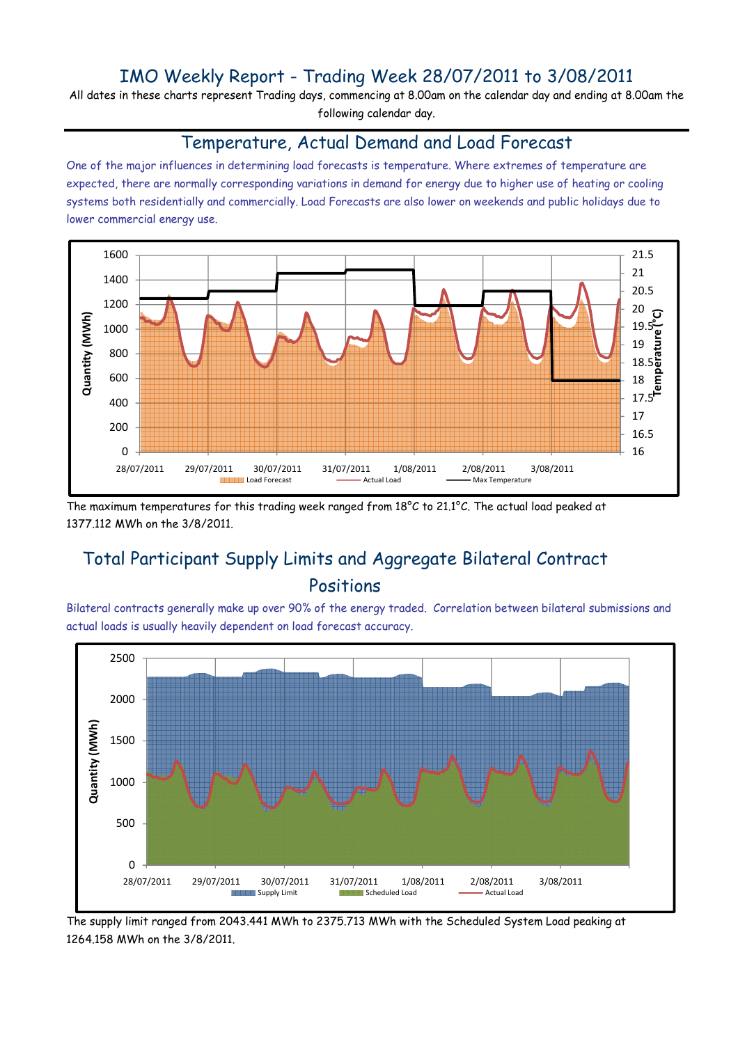## IMO Weekly Report - Trading Week 28/07/2011 to 3/08/2011

All dates in these charts represent Trading days, commencing at 8.00am on the calendar day and ending at 8.00am the following calendar day.

#### Temperature, Actual Demand and Load Forecast

One of the major influences in determining load forecasts is temperature. Where extremes of temperature are expected, there are normally corresponding variations in demand for energy due to higher use of heating or cooling systems both residentially and commercially. Load Forecasts are also lower on weekends and public holidays due to lower commercial energy use.



The maximum temperatures for this trading week ranged from 18°C to 21.1°C. The actual load peaked at 1377.112 MWh on the 3/8/2011.

# Total Participant Supply Limits and Aggregate Bilateral Contract Positions

Bilateral contracts generally make up over 90% of the energy traded. Correlation between bilateral submissions and actual loads is usually heavily dependent on load forecast accuracy.



The supply limit ranged from 2043.441 MWh to 2375.713 MWh with the Scheduled System Load peaking at 1264.158 MWh on the 3/8/2011.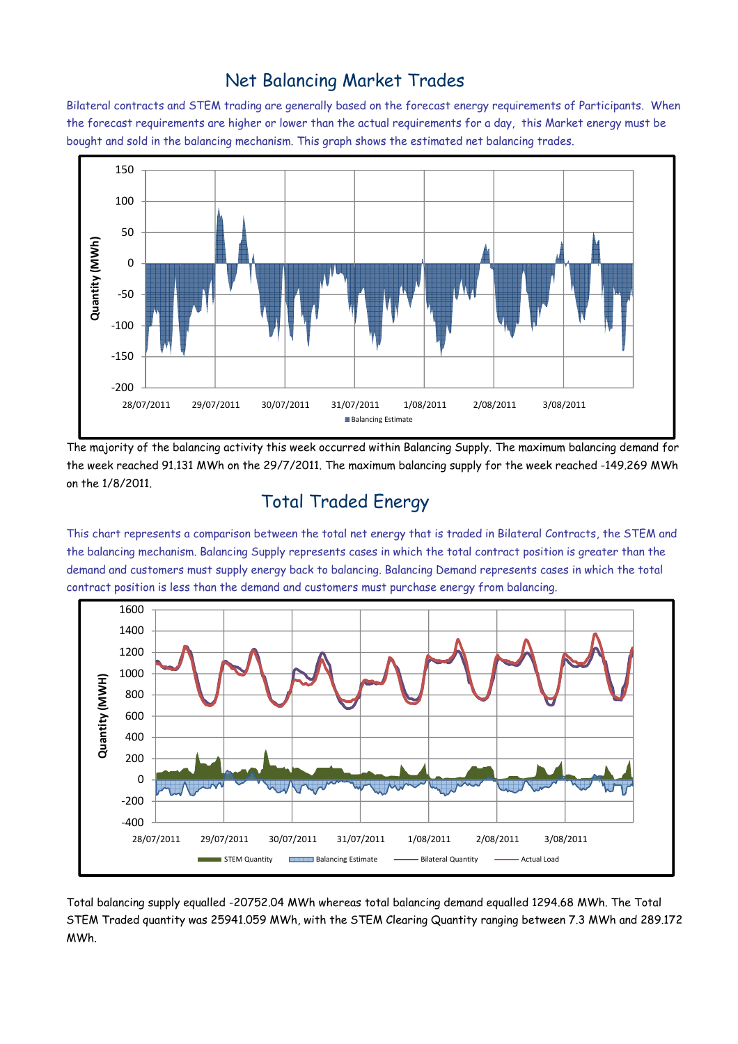## Net Balancing Market Trades

Bilateral contracts and STEM trading are generally based on the forecast energy requirements of Participants. When the forecast requirements are higher or lower than the actual requirements for a day, this Market energy must be bought and sold in the balancing mechanism. This graph shows the estimated net balancing trades.



The majority of the balancing activity this week occurred within Balancing Supply. The maximum balancing demand for the week reached 91.131 MWh on the 29/7/2011. The maximum balancing supply for the week reached -149.269 MWh on the 1/8/2011.

# Total Traded Energy

This chart represents a comparison between the total net energy that is traded in Bilateral Contracts, the STEM and the balancing mechanism. Balancing Supply represents cases in which the total contract position is greater than the demand and customers must supply energy back to balancing. Balancing Demand represents cases in which the total contract position is less than the demand and customers must purchase energy from balancing.



Total balancing supply equalled -20752.04 MWh whereas total balancing demand equalled 1294.68 MWh. The Total STEM Traded quantity was 25941.059 MWh, with the STEM Clearing Quantity ranging between 7.3 MWh and 289.172 MWh.